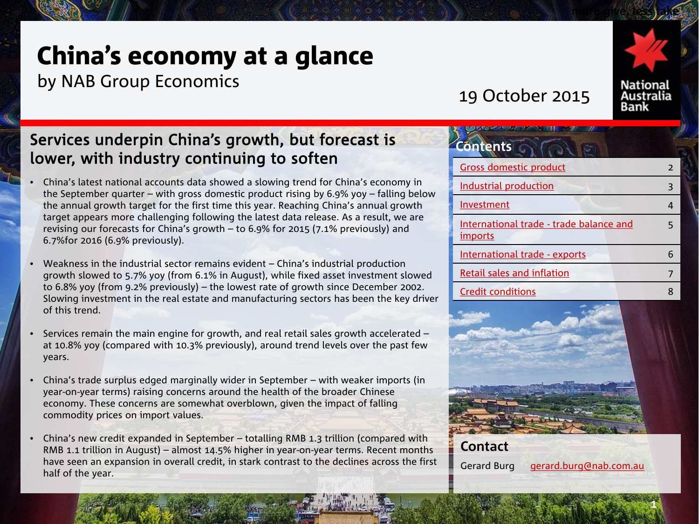# China's economy at a glance

by NAB Group Economics

19 October 2015



**more give, less take** 

# Services underpin China's growth, but forecast is lower, with industry continuing to soften

- China's latest national accounts data showed a slowing trend for China's economy in the September quarter – with gross domestic product rising by 6.9% yoy – falling below the annual growth target for the first time this year. Reaching China's annual growth target appears more challenging following the latest data release. As a result, we are revising our forecasts for China's growth – to 6.9% for 2015 (7.1% previously) and 6.7%for 2016 (6.9% previously).
- Weakness in the industrial sector remains evident China's industrial production growth slowed to 5.7% yoy (from 6.1% in August), while fixed asset investment slowed to 6.8% yoy (from 9.2% previously) – the lowest rate of growth since December 2002. Slowing investment in the real estate and manufacturing sectors has been the key driver of this trend.
- Services remain the main engine for growth, and real retail sales growth accelerated at 10.8% yoy (compared with 10.3% previously), around trend levels over the past few years.
- China's trade surplus edged marginally wider in September with weaker imports (in year-on-year terms) raising concerns around the health of the broader Chinese economy. These concerns are somewhat overblown, given the impact of falling commodity prices on import values.
- China's new credit expanded in September totalling RMB 1.3 trillion (compared with RMB 1.1 trillion in August) – almost 14.5% higher in year-on-year terms. Recent months have seen an expansion in overall credit, in stark contrast to the declines across the first half of the year.

| <b>Contents</b>                                           |   |
|-----------------------------------------------------------|---|
| <b>Gross domestic product</b>                             | 2 |
| <b>Industrial production</b>                              | З |
| Investment                                                |   |
| International trade - trade balance and<br><i>imports</i> |   |
| International trade - exports                             |   |
| Retail sales and inflation                                |   |
| Credit conditions                                         |   |



Gerard Burg [gerard.burg@nab.com.au](mailto:gerard.burg@nab.com.au)

**1**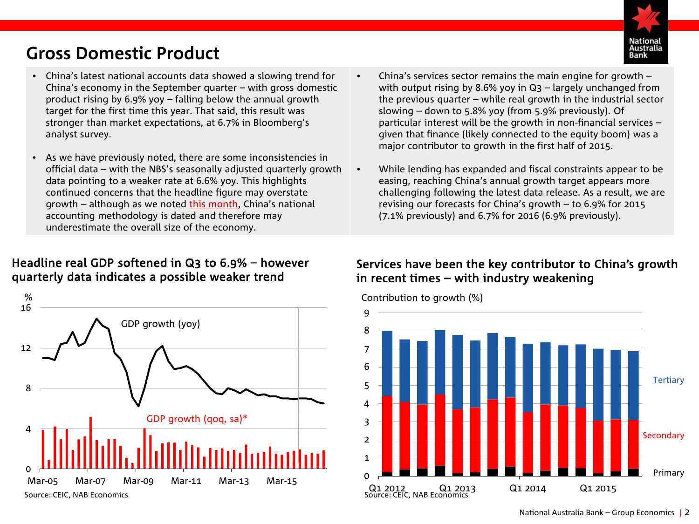# Australia

# <span id="page-1-0"></span>**Gross Domestic Product**

- China's latest national accounts data showed a slowing trend for China's economy in the September quarter – with gross domestic product rising by 6.9% yoy – falling below the annual growth target for the first time this year. That said, this result was stronger than market expectations, at 6.7% in Bloomberg's analyst survey.
- As we have previously noted, there are some inconsistencies in official data – with the NBS's seasonally adjusted quarterly growth data pointing to a weaker rate at 6.6% yoy. This highlights continued concerns that the headline figure may overstate growth – although as we noted [this month](http://business.nab.com.au/wp-content/uploads/2015/10/China-Economic-Update.pdf), China's national accounting methodology is dated and therefore may underestimate the overall size of the economy.

## Headline real GDP softened in Q3 to 6.9% – however quarterly data indicates a possible weaker trend



- China's services sector remains the main engine for growth with output rising by 8.6% yoy in Q3 – largely unchanged from the previous quarter – while real growth in the industrial sector slowing – down to 5.8% yoy (from 5.9% previously). Of particular interest will be the growth in non-financial services – given that finance (likely connected to the equity boom) was a major contributor to growth in the first half of 2015.
- While lending has expanded and fiscal constraints appear to be easing, reaching China's annual growth target appears more challenging following the latest data release. As a result, we are revising our forecasts for China's growth – to 6.9% for 2015 (7.1% previously) and 6.7% for 2016 (6.9% previously).

# Services have been the key contributor to China's growth in recent times – with industry weakening

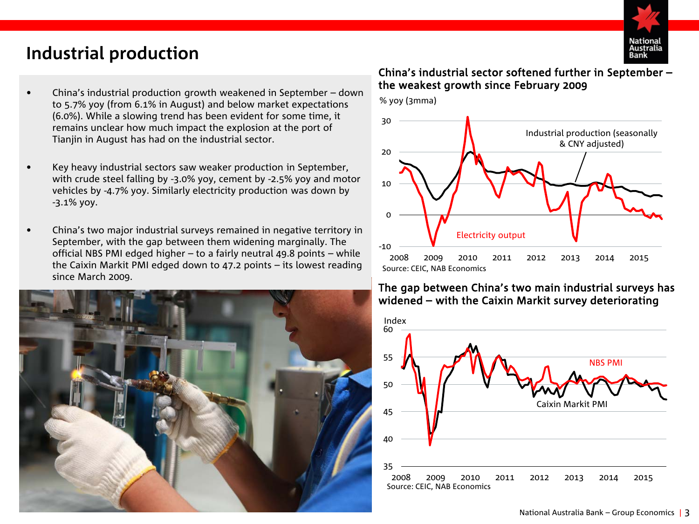

# <span id="page-2-0"></span>**Industrial production**

- China's industrial production growth weakened in September down to 5.7% yoy (from 6.1% in August) and below market expectations (6.0%). While a slowing trend has been evident for some time, it remains unclear how much impact the explosion at the port of Tianjin in August has had on the industrial sector.
- Key heavy industrial sectors saw weaker production in September, with crude steel falling by -3.0% yoy, cement by -2.5% yoy and motor vehicles by -4.7% yoy. Similarly electricity production was down by -3.1% yoy.
- China's two major industrial surveys remained in negative territory in September, with the gap between them widening marginally. The official NBS PMI edged higher – to a fairly neutral 49.8 points – while the Caixin Markit PMI edged down to 47.2 points – its lowest reading since March 2009.



## China's industrial sector softened further in September – the weakest growth since February 2009



## The gap between China's two main industrial surveys has widened – with the Caixin Markit survey deteriorating

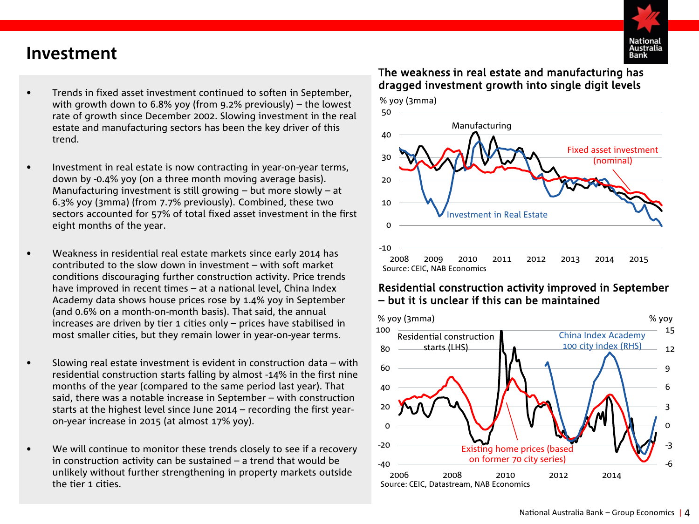

# <span id="page-3-0"></span>**Investment**

- Trends in fixed asset investment continued to soften in September, with growth down to 6.8% yoy (from 9.2% previously) – the lowest rate of growth since December 2002. Slowing investment in the real estate and manufacturing sectors has been the key driver of this trend.
- Investment in real estate is now contracting in year-on-year terms, down by -0.4% yoy (on a three month moving average basis). Manufacturing investment is still growing – but more slowly – at 6.3% yoy (3mma) (from 7.7% previously). Combined, these two sectors accounted for 57% of total fixed asset investment in the first eight months of the year.
- Weakness in residential real estate markets since early 2014 has contributed to the slow down in investment – with soft market conditions discouraging further construction activity. Price trends have improved in recent times – at a national level, China Index Academy data shows house prices rose by 1.4% yoy in September (and 0.6% on a month-on-month basis). That said, the annual increases are driven by tier 1 cities only – prices have stabilised in most smaller cities, but they remain lower in year-on-year terms.
- Slowing real estate investment is evident in construction data with residential construction starts falling by almost -14% in the first nine months of the year (compared to the same period last year). That said, there was a notable increase in September – with construction starts at the highest level since June 2014 – recording the first yearon-year increase in 2015 (at almost 17% yoy).
- We will continue to monitor these trends closely to see if a recovery in construction activity can be sustained – a trend that would be unlikely without further strengthening in property markets outside the tier 1 cities.

## The weakness in real estate and manufacturing has dragged investment growth into single digit levels



## Residential construction activity improved in September – but it is unclear if this can be maintained

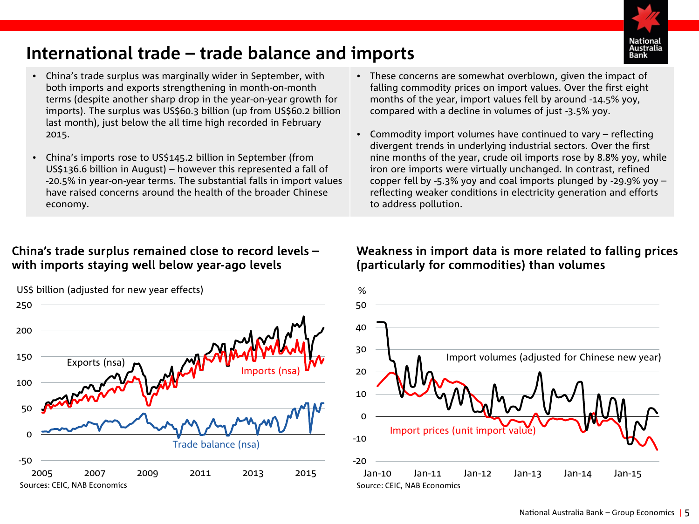

# <span id="page-4-0"></span>**International trade – trade balance and imports**

- China's trade surplus was marginally wider in September, with both imports and exports strengthening in month-on-month terms (despite another sharp drop in the year-on-year growth for imports). The surplus was US\$60.3 billion (up from US\$60.2 billion last month), just below the all time high recorded in February 2015.
- China's imports rose to US\$145.2 billion in September (from US\$136.6 billion in August) – however this represented a fall of -20.5% in year-on-year terms. The substantial falls in import values have raised concerns around the health of the broader Chinese economy.

# China's trade surplus remained close to record levels – with imports staying well below year-ago levels

US\$ billion (adjusted for new year effects)



- These concerns are somewhat overblown, given the impact of falling commodity prices on import values. Over the first eight months of the year, import values fell by around -14.5% yoy, compared with a decline in volumes of just -3.5% yoy.
- Commodity import volumes have continued to vary reflecting divergent trends in underlying industrial sectors. Over the first nine months of the year, crude oil imports rose by 8.8% yoy, while iron ore imports were virtually unchanged. In contrast, refined copper fell by -5.3% yoy and coal imports plunged by -29.9% yoy – reflecting weaker conditions in electricity generation and efforts to address pollution.

# Weakness in import data is more related to falling prices (particularly for commodities) than volumes

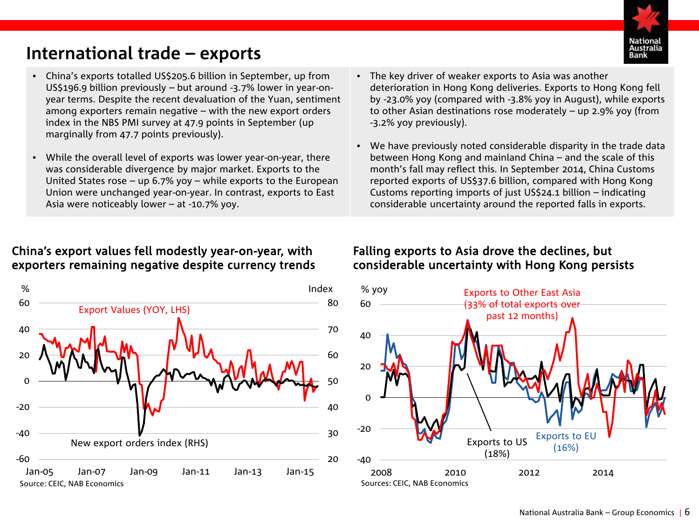# <span id="page-5-0"></span>**International trade – exports**



- China's exports totalled US\$205.6 billion in September, up from US\$196.9 billion previously – but around -3.7% lower in year-onyear terms. Despite the recent devaluation of the Yuan, sentiment among exporters remain negative – with the new export orders index in the NBS PMI survey at 47.9 points in September (up marginally from 47.7 points previously).
- While the overall level of exports was lower year-on-year, there was considerable divergence by major market. Exports to the United States rose – up 6.7% yoy – while exports to the European Union were unchanged year-on-year. In contrast, exports to East Asia were noticeably lower – at -10.7% yoy.

# China's export values fell modestly year-on-year, with exporters remaining negative despite currency trends



- The key driver of weaker exports to Asia was another deterioration in Hong Kong deliveries. Exports to Hong Kong fell by -23.0% yoy (compared with -3.8% yoy in August), while exports to other Asian destinations rose moderately – up 2.9% yoy (from -3.2% yoy previously).
- We have previously noted considerable disparity in the trade data between Hong Kong and mainland China – and the scale of this month's fall may reflect this. In September 2014, China Customs reported exports of US\$37.6 billion, compared with Hong Kong Customs reporting imports of just US\$24.1 billion – indicating considerable uncertainty around the reported falls in exports.

# Falling exports to Asia drove the declines, but considerable uncertainty with Hong Kong persists

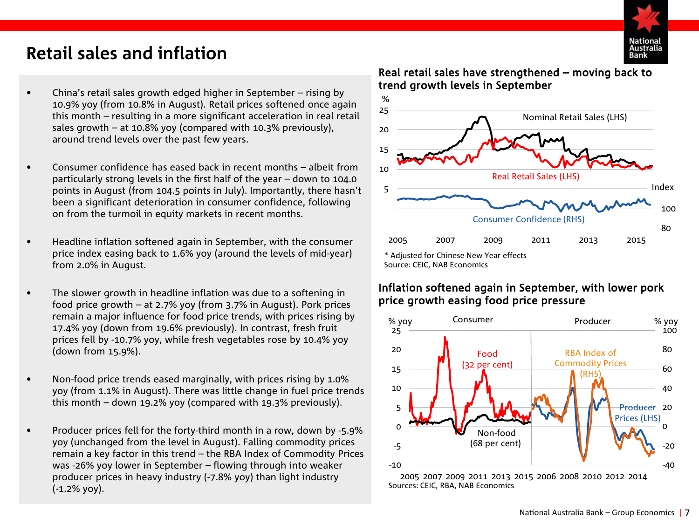

# <span id="page-6-0"></span>**Retail sales and inflation**

- China's retail sales growth edged higher in September rising by 10.9% yoy (from 10.8% in August). Retail prices softened once again this month – resulting in a more significant acceleration in real retail sales growth – at 10.8% yoy (compared with 10.3% previously), around trend levels over the past few years.
- Consumer confidence has eased back in recent months albeit from particularly strong levels in the first half of the year – down to 104.0 points in August (from 104.5 points in July). Importantly, there hasn't been a significant deterioration in consumer confidence, following on from the turmoil in equity markets in recent months.
- Headline inflation softened again in September, with the consumer price index easing back to 1.6% yoy (around the levels of mid-year) from 2.0% in August.
- The slower growth in headline inflation was due to a softening in food price growth – at 2.7% yoy (from 3.7% in August). Pork prices remain a major influence for food price trends, with prices rising by 17.4% yoy (down from 19.6% previously). In contrast, fresh fruit prices fell by -10.7% yoy, while fresh vegetables rose by 10.4% yoy (down from 15.9%).
- Non-food price trends eased marginally, with prices rising by 1.0% yoy (from 1.1% in August). There was little change in fuel price trends this month – down 19.2% yoy (compared with 19.3% previously).
- Producer prices fell for the forty-third month in a row, down by -5.9% yoy (unchanged from the level in August). Falling commodity prices remain a key factor in this trend – the RBA Index of Commodity Prices was -26% yoy lower in September – flowing through into weaker producer prices in heavy industry (-7.8% yoy) than light industry (-1.2% yoy).

## Real retail sales have strengthened – moving back to trend growth levels in September



Source: CEIC, NAB Economics

## Inflation softened again in September, with lower pork price growth easing food price pressure



2005 2007 2009 2011 2013 2015 2006 2008 2010 2012 2014 Sources: CEIC, RBA, NAB Economics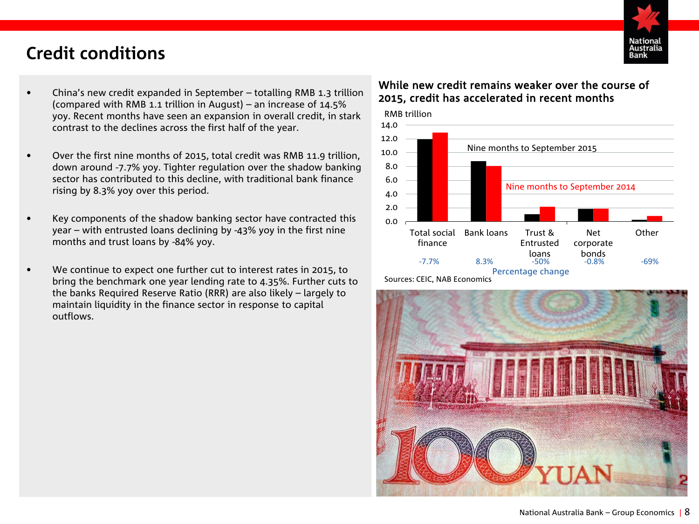

# <span id="page-7-0"></span>**Credit conditions**

- China's new credit expanded in September totalling RMB 1.3 trillion (compared with RMB 1.1 trillion in August) – an increase of 14.5% yoy. Recent months have seen an expansion in overall credit, in stark contrast to the declines across the first half of the year.
- Over the first nine months of 2015, total credit was RMB 11.9 trillion, down around -7.7% yoy. Tighter regulation over the shadow banking sector has contributed to this decline, with traditional bank finance rising by 8.3% yoy over this period.
- Key components of the shadow banking sector have contracted this year – with entrusted loans declining by -43% yoy in the first nine months and trust loans by -84% yoy.
- We continue to expect one further cut to interest rates in 2015, to bring the benchmark one year lending rate to 4.35%. Further cuts to the banks Required Reserve Ratio (RRR) are also likely – largely to maintain liquidity in the finance sector in response to capital outflows.

## While new credit remains weaker over the course of 2015, credit has accelerated in recent months